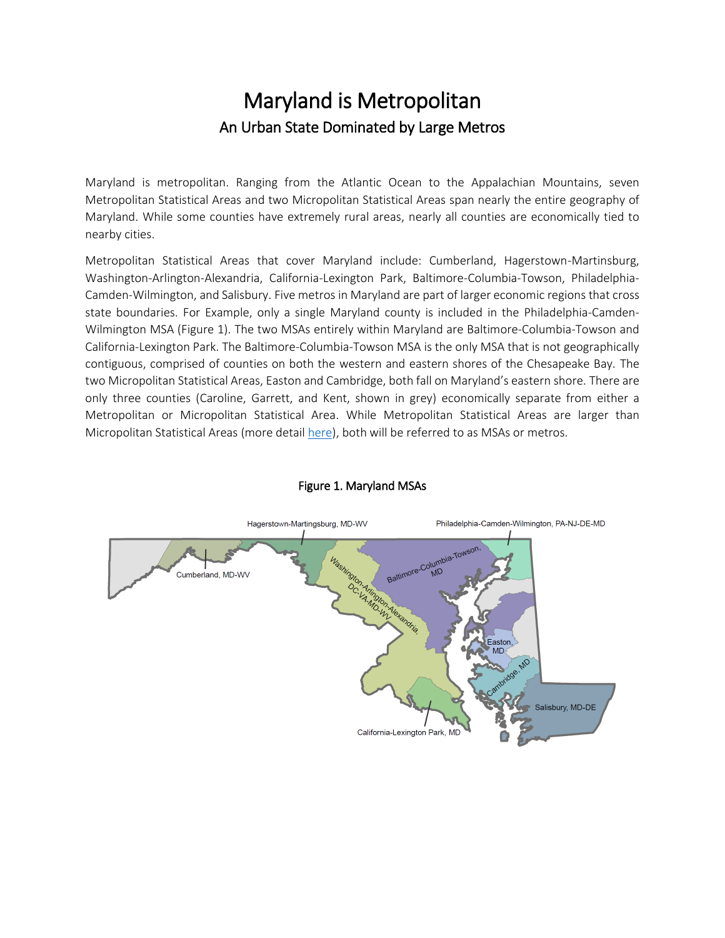## Maryland is Metropolitan An Urban State Dominated by Large Metros

Maryland is metropolitan. Ranging from the Atlantic Ocean to the Appalachian Mountains, seven Metropolitan Statistical Areas and two Micropolitan Statistical Areas span nearly the entire geography of Maryland. While some counties have extremely rural areas, nearly all counties are economically tied to nearby cities.

Metropolitan Statistical Areas that cover Maryland include: Cumberland, Hagerstown-Martinsburg, Washington-Arlington-Alexandria, California-Lexington Park, Baltimore-Columbia-Towson, Philadelphia-Camden-Wilmington, and Salisbury. Five metros in Maryland are part of larger economic regions that cross state boundaries. For Example, only a single Maryland county is included in the Philadelphia-Camden-Wilmington MSA (Figure 1). The two MSAs entirely within Maryland are Baltimore-Columbia-Towson and California-Lexington Park. The Baltimore-Columbia-Towson MSA is the only MSA that is not geographically contiguous, comprised of counties on both the western and eastern shores of the Chesapeake Bay. The two Micropolitan Statistical Areas, Easton and Cambridge, both fall on Maryland's eastern shore. There are only three counties (Caroline, Garrett, and Kent, shown in grey) economically separate from either a Metropolitan or Micropolitan Statistical Area. While Metropolitan Statistical Areas are larger than Micropolitan Statistical Areas (more detail [here\)](https://www.census.gov/programs-surveys/metro-micro/about.html), both will be referred to as MSAs or metros.



## Figure 1. Maryland MSAs